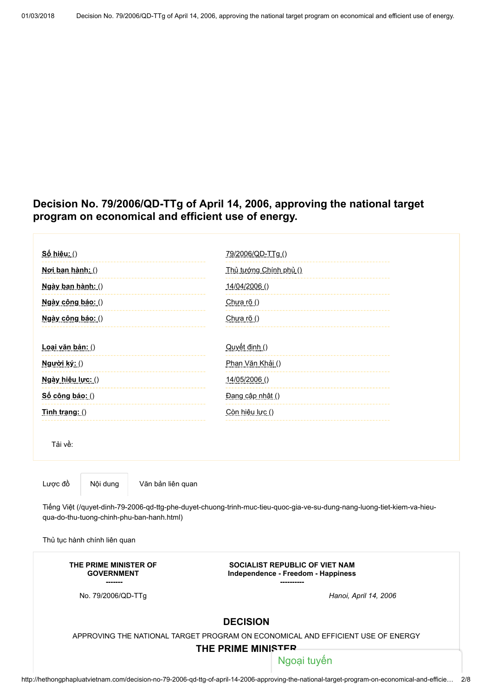# Decision No. 79/2006/QD-TTg of April 14, 2006, approving the national target program on economical and efficient use of energy.

<span id="page-0-0"></span>

| <u>Số hiệu: ()</u>                                                                                                                                                                                                | 79/2006/QD-TTg()                                                            |
|-------------------------------------------------------------------------------------------------------------------------------------------------------------------------------------------------------------------|-----------------------------------------------------------------------------|
| Noi ban hành: ()                                                                                                                                                                                                  | Thủ tướng Chính phủ ()                                                      |
| Ngày ban hành: ()                                                                                                                                                                                                 | 14/04/2006 ()                                                               |
| Ngày công báo: ()                                                                                                                                                                                                 | Chưa rõ ()                                                                  |
| Ngày công báo: ()                                                                                                                                                                                                 | Chưa rõ ()                                                                  |
| Loại văn bản: ()                                                                                                                                                                                                  | Quyết định ()                                                               |
| Người ký: ()                                                                                                                                                                                                      | Phan Văn Khải ()                                                            |
|                                                                                                                                                                                                                   |                                                                             |
| Ngày hiệu lực: ()                                                                                                                                                                                                 | 14/05/2006 ()                                                               |
| Số công báo: ()                                                                                                                                                                                                   | Đang cập nhật ()                                                            |
| Tinh trang: $()$                                                                                                                                                                                                  | Còn hiệu lực ()                                                             |
| Tải về:                                                                                                                                                                                                           |                                                                             |
| Lược đồ<br>Nội dung<br>Văn bản liên quan<br>Tiếng Việt (/quyet-dinh-79-2006-qd-ttg-phe-duyet-chuong-trinh-muc-tieu-quoc-gia-ve-su-dung-nang-luong-tiet-kiem-va-hieu-<br>qua-do-thu-tuong-chinh-phu-ban-hanh.html) |                                                                             |
| Thủ tục hành chính liên quan                                                                                                                                                                                      |                                                                             |
| THE PRIME MINISTER OF<br><b>GOVERNMENT</b>                                                                                                                                                                        | <b>SOCIALIST REPUBLIC OF VIET NAM</b><br>Independence - Freedom - Happiness |
| No. 79/2006/QD-TTg                                                                                                                                                                                                | Hanoi, April 14, 2006                                                       |
| <b>DECISION</b><br>APPROVING THE NATIONAL TARGET PROGRAM ON ECONOMICAL AND EFFICIENT USE OF ENERGY<br>THE PRIME MINISTER                                                                                          |                                                                             |
|                                                                                                                                                                                                                   | Ngoại tuyến                                                                 |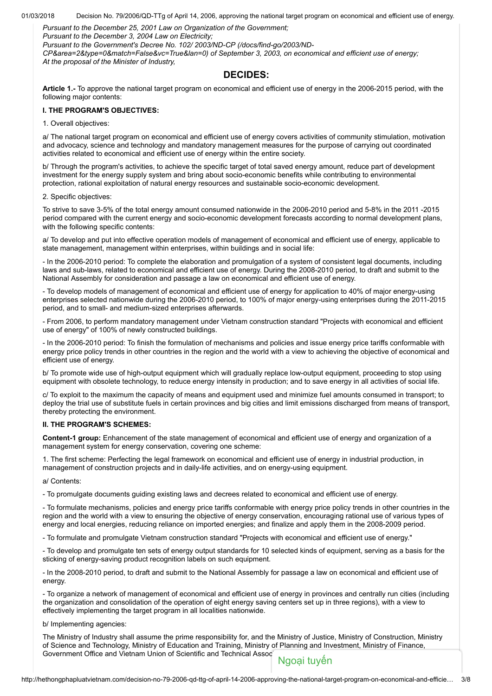01/03/2018 Decision No. 79/2006/QD-TTg of April 14, 2006, approving the national target program on economical and efficient use of energy.

Pursuant to the December 25, 2001 Law on Organization of the Government;

Pursuant to the December 3, 2004 Law on Electricity;

Pursuant to the Government's Decree No. 102/ 2003/ND-CP (/docs/find-go/2003/ND-

[CP&area=2&type=0&match=False&vc=True&lan=0\) of September 3, 2003, on econom](http://hethongphapluatvietnam.com/docs/find-go/2003/ND-CP&area=2&type=0&match=False&vc=True&lan=0)ical and efficient use of energy; At the proposal of the Minister of Industry,

# DECIDES:

Article 1.- To approve the national target program on economical and efficient use of energy in the 2006-2015 period, with the following major contents:

# I. THE PROGRAM'S OBJECTIVES:

1. Overall objectives:

a/ The national target program on economical and efficient use of energy covers activities of community stimulation, motivation and advocacy, science and technology and mandatory management measures for the purpose of carrying out coordinated activities related to economical and efficient use of energy within the entire society.

b/ Through the program's activities, to achieve the specific target of total saved energy amount, reduce part of development investment for the energy supply system and bring about socio-economic benefits while contributing to environmental protection, rational exploitation of natural energy resources and sustainable socio-economic development.

# 2. Specific objectives:

To strive to save 3-5% of the total energy amount consumed nationwide in the 2006-2010 period and 5-8% in the 2011 -2015 period compared with the current energy and socio-economic development forecasts according to normal development plans, with the following specific contents:

a/ To develop and put into effective operation models of management of economical and efficient use of energy, applicable to state management, management within enterprises, within buildings and in social life:

- In the 2006-2010 period: To complete the elaboration and promulgation of a system of consistent legal documents, including laws and sub-laws, related to economical and efficient use of energy. During the 2008-2010 period, to draft and submit to the National Assembly for consideration and passage a law on economical and efficient use of energy.

- To develop models of management of economical and efficient use of energy for application to 40% of major energy-using enterprises selected nationwide during the 2006-2010 period, to 100% of major energy-using enterprises during the 2011-2015 period, and to small- and medium-sized enterprises afterwards.

- From 2006, to perform mandatory management under Vietnam construction standard "Projects with economical and efficient use of energy" of 100% of newly constructed buildings.

- In the 2006-2010 period: To finish the formulation of mechanisms and policies and issue energy price tariffs conformable with energy price policy trends in other countries in the region and the world with a view to achieving the objective of economical and efficient use of energy.

b/ To promote wide use of high-output equipment which will gradually replace low-output equipment, proceeding to stop using equipment with obsolete technology, to reduce energy intensity in production; and to save energy in all activities of social life.

c/ To exploit to the maximum the capacity of means and equipment used and minimize fuel amounts consumed in transport; to deploy the trial use of substitute fuels in certain provinces and big cities and limit emissions discharged from means of transport, thereby protecting the environment.

# II. THE PROGRAM'S SCHEMES:

Content-1 group: Enhancement of the state management of economical and efficient use of energy and organization of a management system for energy conservation, covering one scheme:

1. The first scheme: Perfecting the legal framework on economical and efficient use of energy in industrial production, in management of construction projects and in daily-life activities, and on energy-using equipment.

a/ Contents:

- To promulgate documents guiding existing laws and decrees related to economical and efficient use of energy.

- To formulate mechanisms, policies and energy price tariffs conformable with energy price policy trends in other countries in the region and the world with a view to ensuring the objective of energy conservation, encouraging rational use of various types of energy and local energies, reducing reliance on imported energies; and finalize and apply them in the 2008-2009 period.

- To formulate and promulgate Vietnam construction standard "Projects with economical and efficient use of energy."

- To develop and promulgate ten sets of energy output standards for 10 selected kinds of equipment, serving as a basis for the sticking of energy-saving product recognition labels on such equipment.

- In the 2008-2010 period, to draft and submit to the National Assembly for passage a law on economical and efficient use of energy.

- To organize a network of management of economical and efficient use of energy in provinces and centrally run cities (including the organization and consolidation of the operation of eight energy saving centers set up in three regions), with a view to effectively implementing the target program in all localities nationwide.

b/ Implementing agencies:

The Ministry of Industry shall assume the prime responsibility for, and the Ministry of Justice, Ministry of Construction, Ministry of Science and Technology, Ministry of Education and Training, Ministry of Planning and Investment, Ministry of Finance, Government Office and Vietnam Union of Scientific and Technical Assoc<br>
Ngoại tuyến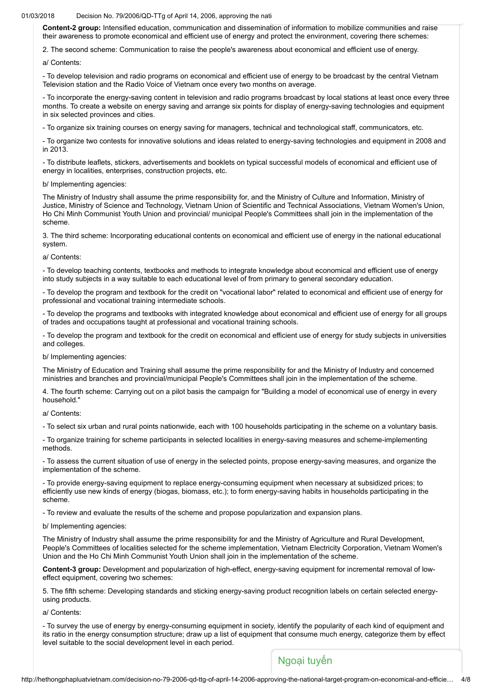#### $01/03/2018$  Decision No. 79/2006/QD-TTg of April 14, 2006, approving the national target program on equal and energy.

Content-2 group: Intensified education, communication and dissemination of information to mobilize communities and raise their awareness to promote economical and efficient use of energy and protect the environment, covering there schemes:

2. The second scheme: Communication to raise the people's awareness about economical and efficient use of energy.

a/ Contents:

- To develop television and radio programs on economical and efficient use of energy to be broadcast by the central Vietnam Television station and the Radio Voice of Vietnam once every two months on average.

- To incorporate the energy-saving content in television and radio programs broadcast by local stations at least once every three months. To create a website on energy saving and arrange six points for display of energy-saving technologies and equipment in six selected provinces and cities.

- To organize six training courses on energy saving for managers, technical and technological staff, communicators, etc.

- To organize two contests for innovative solutions and ideas related to energy-saving technologies and equipment in 2008 and in 2013.

- To distribute leaflets, stickers, advertisements and booklets on typical successful models of economical and efficient use of energy in localities, enterprises, construction projects, etc.

### b/ Implementing agencies:

The Ministry of Industry shall assume the prime responsibility for, and the Ministry of Culture and Information, Ministry of Justice, Ministry of Science and Technology, Vietnam Union of Scientific and Technical Associations, Vietnam Women's Union, Ho Chi Minh Communist Youth Union and provincial/ municipal People's Committees shall join in the implementation of the scheme.

3. The third scheme: Incorporating educational contents on economical and efficient use of energy in the national educational system.

### a/ Contents:

- To develop teaching contents, textbooks and methods to integrate knowledge about economical and efficient use of energy into study subjects in a way suitable to each educational level of from primary to general secondary education.

- To develop the program and textbook for the credit on "vocational labor" related to economical and efficient use of energy for professional and vocational training intermediate schools.

- To develop the programs and textbooks with integrated knowledge about economical and efficient use of energy for all groups of trades and occupations taught at professional and vocational training schools.

- To develop the program and textbook for the credit on economical and efficient use of energy for study subjects in universities and colleges.

b/ Implementing agencies:

The Ministry of Education and Training shall assume the prime responsibility for and the Ministry of Industry and concerned ministries and branches and provincial/municipal People's Committees shall join in the implementation of the scheme.

4. The fourth scheme: Carrying out on a pilot basis the campaign for "Building a model of economical use of energy in every household."

a/ Contents:

- To select six urban and rural points nationwide, each with 100 households participating in the scheme on a voluntary basis.

- To organize training for scheme participants in selected localities in energy-saving measures and scheme-implementing methods.

- To assess the current situation of use of energy in the selected points, propose energy-saving measures, and organize the implementation of the scheme.

- To provide energy-saving equipment to replace energy-consuming equipment when necessary at subsidized prices; to efficiently use new kinds of energy (biogas, biomass, etc.); to form energy-saving habits in households participating in the scheme.

- To review and evaluate the results of the scheme and propose popularization and expansion plans.

b/ Implementing agencies:

The Ministry of Industry shall assume the prime responsibility for and the Ministry of Agriculture and Rural Development, People's Committees of localities selected for the scheme implementation, Vietnam Electricity Corporation, Vietnam Women's Union and the Ho Chi Minh Communist Youth Union shall join in the implementation of the scheme.

Content-3 group: Development and popularization of high-effect, energy-saving equipment for incremental removal of loweffect equipment, covering two schemes:

5. The fifth scheme: Developing standards and sticking energy-saving product recognition labels on certain selected energyusing products.

a/ Contents:

- To survey the use of energy by energy-consuming equipment in society, identify the popularity of each kind of equipment and its ratio in the energy consumption structure; draw up a list of equipment that consume much energy, categorize them by effect level suitable to the social development level in each period.

# Ngoại tuyến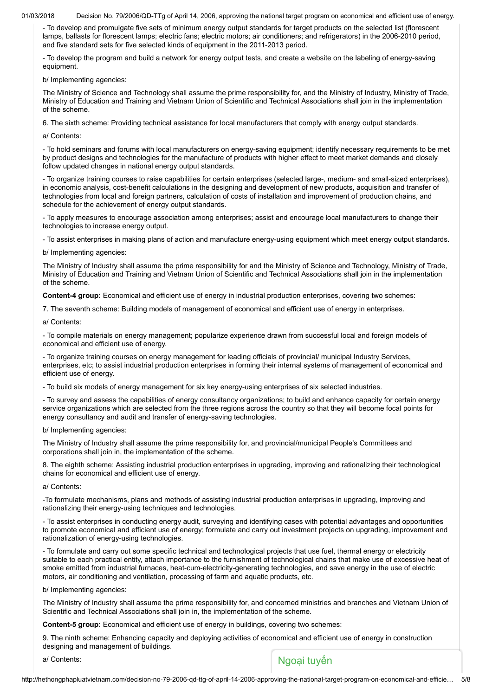01/03/2018 Decision No. 79/2006/QD-TTg of April 14, 2006, approving the national target program on economical and efficient use of energy.

- To develop and promulgate five sets of minimum energy output standards for target products on the selected list (florescent lamps, ballasts for florescent lamps; electric fans; electric motors; air conditioners; and refrigerators) in the 2006-2010 period, and five standard sets for five selected kinds of equipment in the 2011-2013 period.

- To develop the program and build a network for energy output tests, and create a website on the labeling of energy-saving equipment.

b/ Implementing agencies:

The Ministry of Science and Technology shall assume the prime responsibility for, and the Ministry of Industry, Ministry of Trade, Ministry of Education and Training and Vietnam Union of Scientific and Technical Associations shall join in the implementation of the scheme.

6. The sixth scheme: Providing technical assistance for local manufacturers that comply with energy output standards.

a/ Contents:

- To hold seminars and forums with local manufacturers on energy-saving equipment; identify necessary requirements to be met by product designs and technologies for the manufacture of products with higher effect to meet market demands and closely follow updated changes in national energy output standards.

- To organize training courses to raise capabilities for certain enterprises (selected large-, medium- and small-sized enterprises), in economic analysis, cost-benefit calculations in the designing and development of new products, acquisition and transfer of technologies from local and foreign partners, calculation of costs of installation and improvement of production chains, and schedule for the achievement of energy output standards.

- To apply measures to encourage association among enterprises; assist and encourage local manufacturers to change their technologies to increase energy output.

- To assist enterprises in making plans of action and manufacture energy-using equipment which meet energy output standards.

b/ Implementing agencies:

The Ministry of Industry shall assume the prime responsibility for and the Ministry of Science and Technology, Ministry of Trade, Ministry of Education and Training and Vietnam Union of Scientific and Technical Associations shall join in the implementation of the scheme.

Content-4 group: Economical and efficient use of energy in industrial production enterprises, covering two schemes:

7. The seventh scheme: Building models of management of economical and efficient use of energy in enterprises.

a/ Contents:

- To compile materials on energy management; popularize experience drawn from successful local and foreign models of economical and efficient use of energy.

- To organize training courses on energy management for leading officials of provincial/ municipal Industry Services, enterprises, etc; to assist industrial production enterprises in forming their internal systems of management of economical and efficient use of energy.

- To build six models of energy management for six key energy-using enterprises of six selected industries.

- To survey and assess the capabilities of energy consultancy organizations; to build and enhance capacity for certain energy service organizations which are selected from the three regions across the country so that they will become focal points for energy consultancy and audit and transfer of energy-saving technologies.

b/ Implementing agencies:

The Ministry of Industry shall assume the prime responsibility for, and provincial/municipal People's Committees and corporations shall join in, the implementation of the scheme.

8. The eighth scheme: Assisting industrial production enterprises in upgrading, improving and rationalizing their technological chains for economical and efficient use of energy.

a/ Contents:

-To formulate mechanisms, plans and methods of assisting industrial production enterprises in upgrading, improving and rationalizing their energy-using techniques and technologies.

- To assist enterprises in conducting energy audit, surveying and identifying cases with potential advantages and opportunities to promote economical and efficient use of energy; formulate and carry out investment projects on upgrading, improvement and rationalization of energy-using technologies.

- To formulate and carry out some specific technical and technological projects that use fuel, thermal energy or electricity suitable to each practical entity, attach importance to the furnishment of technological chains that make use of excessive heat of smoke emitted from industrial furnaces, heat-cum-electricity-generating technologies, and save energy in the use of electric motors, air conditioning and ventilation, processing of farm and aquatic products, etc.

b/ Implementing agencies:

The Ministry of Industry shall assume the prime responsibility for, and concerned ministries and branches and Vietnam Union of Scientific and Technical Associations shall join in, the implementation of the scheme.

Content-5 group: Economical and efficient use of energy in buildings, covering two schemes:

9. The ninth scheme: Enhancing capacity and deploying activities of economical and efficient use of energy in construction designing and management of buildings.

# a/ Contents: Ngoại tuyến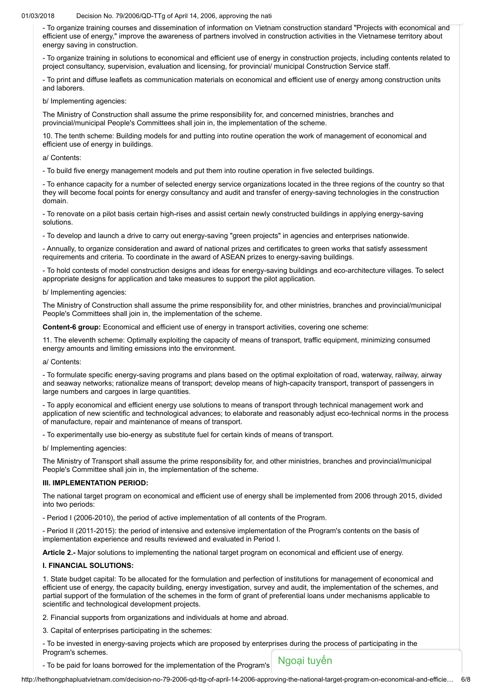#### $01/03/2018$  Decision No. 79/2006/QD-TTg of April 14, 2006, approving the national target program on equal and energy.

- To organize training courses and dissemination of information on Vietnam construction standard "Projects with economical and efficient use of energy," improve the awareness of partners involved in construction activities in the Vietnamese territory about energy saving in construction.

- To organize training in solutions to economical and efficient use of energy in construction projects, including contents related to project consultancy, supervision, evaluation and licensing, for provincial/ municipal Construction Service staff.

- To print and diffuse leaflets as communication materials on economical and efficient use of energy among construction units and laborers.

b/ Implementing agencies:

The Ministry of Construction shall assume the prime responsibility for, and concerned ministries, branches and provincial/municipal People's Committees shall join in, the implementation of the scheme.

10. The tenth scheme: Building models for and putting into routine operation the work of management of economical and efficient use of energy in buildings.

a/ Contents:

- To build five energy management models and put them into routine operation in five selected buildings.

- To enhance capacity for a number of selected energy service organizations located in the three regions of the country so that they will become focal points for energy consultancy and audit and transfer of energy-saving technologies in the construction domain.

- To renovate on a pilot basis certain high-rises and assist certain newly constructed buildings in applying energy-saving solutions.

- To develop and launch a drive to carry out energy-saving "green projects" in agencies and enterprises nationwide.

- Annually, to organize consideration and award of national prizes and certificates to green works that satisfy assessment requirements and criteria. To coordinate in the award of ASEAN prizes to energy-saving buildings.

- To hold contests of model construction designs and ideas for energy-saving buildings and eco-architecture villages. To select appropriate designs for application and take measures to support the pilot application.

b/ Implementing agencies:

The Ministry of Construction shall assume the prime responsibility for, and other ministries, branches and provincial/municipal People's Committees shall join in, the implementation of the scheme.

Content-6 group: Economical and efficient use of energy in transport activities, covering one scheme:

11. The eleventh scheme: Optimally exploiting the capacity of means of transport, traffic equipment, minimizing consumed energy amounts and limiting emissions into the environment.

a/ Contents:

- To formulate specific energy-saving programs and plans based on the optimal exploitation of road, waterway, railway, airway and seaway networks; rationalize means of transport; develop means of high-capacity transport, transport of passengers in large numbers and cargoes in large quantities.

- To apply economical and efficient energy use solutions to means of transport through technical management work and application of new scientific and technological advances; to elaborate and reasonably adjust eco-technical norms in the process of manufacture, repair and maintenance of means of transport.

- To experimentally use bio-energy as substitute fuel for certain kinds of means of transport.

b/ Implementing agencies:

The Ministry of Transport shall assume the prime responsibility for, and other ministries, branches and provincial/municipal People's Committee shall join in, the implementation of the scheme.

# III. IMPLEMENTATION PERIOD:

The national target program on economical and efficient use of energy shall be implemented from 2006 through 2015, divided into two periods:

- Period I (2006-2010), the period of active implementation of all contents of the Program.

- Period II (2011-2015): the period of intensive and extensive implementation of the Program's contents on the basis of implementation experience and results reviewed and evaluated in Period I.

Article 2.- Major solutions to implementing the national target program on economical and efficient use of energy.

### I. FINANCIAL SOLUTIONS:

1. State budget capital: To be allocated for the formulation and perfection of institutions for management of economical and efficient use of energy, the capacity building, energy investigation, survey and audit, the implementation of the schemes, and partial support of the formulation of the schemes in the form of grant of preferential loans under mechanisms applicable to scientific and technological development projects.

2. Financial supports from organizations and individuals at home and abroad.

3. Capital of enterprises participating in the schemes:

- To be invested in energy-saving projects which are proposed by enterprises during the process of participating in the Program's schemes.

- To be paid for loans borrowed for the implementation of the Program's Ngoại tuyên

http://hethongphapluatvietnam.com/decision-no-79-2006-qd-ttg-of-april-14-2006-approving-the-national-target-program-on-economical-and-efficie… 6/8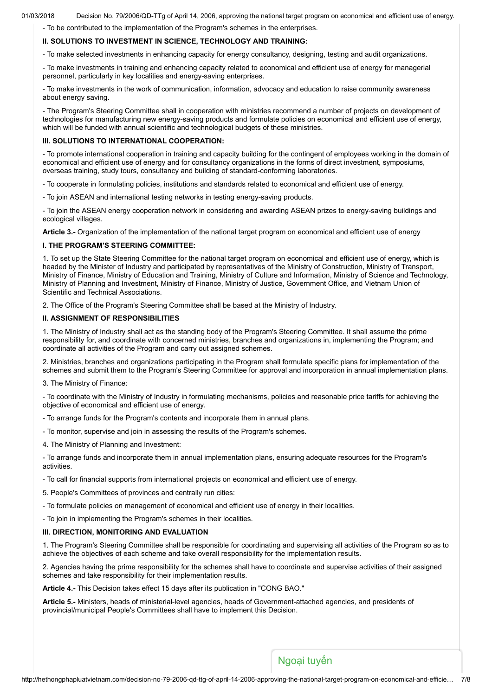- To be contributed to the implementation of the Program's schemes in the enterprises.

### II. SOLUTIONS TO INVESTMENT IN SCIENCE, TECHNOLOGY AND TRAINING:

- To make selected investments in enhancing capacity for energy consultancy, designing, testing and audit organizations.

- To make investments in training and enhancing capacity related to economical and efficient use of energy for managerial personnel, particularly in key localities and energy-saving enterprises.

- To make investments in the work of communication, information, advocacy and education to raise community awareness about energy saving.

- The Program's Steering Committee shall in cooperation with ministries recommend a number of projects on development of technologies for manufacturing new energy-saving products and formulate policies on economical and efficient use of energy, which will be funded with annual scientific and technological budgets of these ministries.

### III. SOLUTIONS TO INTERNATIONAL COOPERATION:

- To promote international cooperation in training and capacity building for the contingent of employees working in the domain of economical and efficient use of energy and for consultancy organizations in the forms of direct investment, symposiums, overseas training, study tours, consultancy and building of standard-conforming laboratories.

- To cooperate in formulating policies, institutions and standards related to economical and efficient use of energy.

- To join ASEAN and international testing networks in testing energy-saving products.

- To join the ASEAN energy cooperation network in considering and awarding ASEAN prizes to energy-saving buildings and ecological villages.

Article 3.- Organization of the implementation of the national target program on economical and efficient use of energy

# I. THE PROGRAM'S STEERING COMMITTEE:

1. To set up the State Steering Committee for the national target program on economical and efficient use of energy, which is headed by the Minister of Industry and participated by representatives of the Ministry of Construction, Ministry of Transport, Ministry of Finance, Ministry of Education and Training, Ministry of Culture and Information, Ministry of Science and Technology, Ministry of Planning and Investment, Ministry of Finance, Ministry of Justice, Government Office, and Vietnam Union of Scientific and Technical Associations.

2. The Office of the Program's Steering Committee shall be based at the Ministry of Industry.

# II. ASSIGNMENT OF RESPONSIBILITIES

1. The Ministry of Industry shall act as the standing body of the Program's Steering Committee. It shall assume the prime responsibility for, and coordinate with concerned ministries, branches and organizations in, implementing the Program; and coordinate all activities of the Program and carry out assigned schemes.

2. Ministries, branches and organizations participating in the Program shall formulate specific plans for implementation of the schemes and submit them to the Program's Steering Committee for approval and incorporation in annual implementation plans.

3. The Ministry of Finance:

- To coordinate with the Ministry of Industry in formulating mechanisms, policies and reasonable price tariffs for achieving the objective of economical and efficient use of energy.

- To arrange funds for the Program's contents and incorporate them in annual plans.
- To monitor, supervise and join in assessing the results of the Program's schemes.
- 4. The Ministry of Planning and Investment:

- To arrange funds and incorporate them in annual implementation plans, ensuring adequate resources for the Program's activities.

- To call for financial supports from international projects on economical and efficient use of energy.

5. People's Committees of provinces and centrally run cities:

- To formulate policies on management of economical and efficient use of energy in their localities.

- To join in implementing the Program's schemes in their localities.

### III. DIRECTION, MONITORING AND EVALUATION

1. The Program's Steering Committee shall be responsible for coordinating and supervising all activities of the Program so as to achieve the objectives of each scheme and take overall responsibility for the implementation results.

2. Agencies having the prime responsibility for the schemes shall have to coordinate and supervise activities of their assigned schemes and take responsibility for their implementation results.

Article 4.- This Decision takes effect 15 days after its publication in "CONG BAO."

Article 5.- Ministers, heads of ministerial-level agencies, heads of Government-attached agencies, and presidents of provincial/municipal People's Committees shall have to implement this Decision.